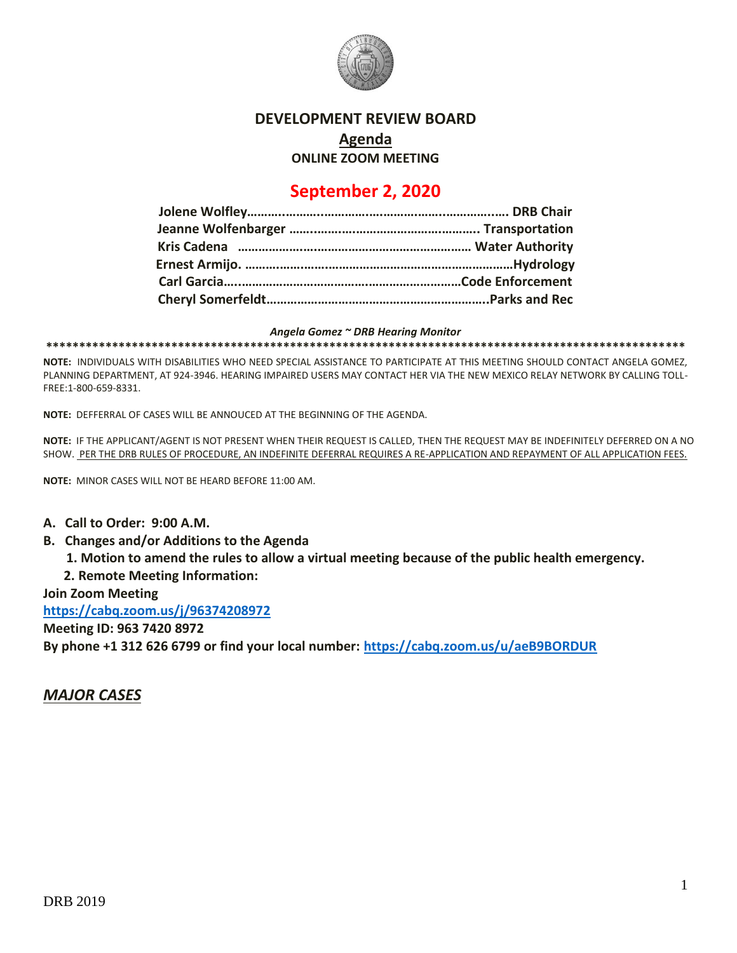

## **DEVELOPMENT REVIEW BOARD**

**Agenda**

**ONLINE ZOOM MEETING**

# **September 2, 2020**

*Angela Gomez ~ DRB Hearing Monitor*

**\*\*\*\*\*\*\*\*\*\*\*\*\*\*\*\*\*\*\*\*\*\*\*\*\*\*\*\*\*\*\*\*\*\*\*\*\*\*\*\*\*\*\*\*\*\*\*\*\*\*\*\*\*\*\*\*\*\*\*\*\*\*\*\*\*\*\*\*\*\*\*\*\*\*\*\*\*\*\*\*\*\*\*\*\*\*\*\*\*\*\*\*\*\*\*\*\***

**NOTE:** INDIVIDUALS WITH DISABILITIES WHO NEED SPECIAL ASSISTANCE TO PARTICIPATE AT THIS MEETING SHOULD CONTACT ANGELA GOMEZ, PLANNING DEPARTMENT, AT 924-3946. HEARING IMPAIRED USERS MAY CONTACT HER VIA THE NEW MEXICO RELAY NETWORK BY CALLING TOLL-FREE:1-800-659-8331.

**NOTE:** DEFFERRAL OF CASES WILL BE ANNOUCED AT THE BEGINNING OF THE AGENDA.

**NOTE:** IF THE APPLICANT/AGENT IS NOT PRESENT WHEN THEIR REQUEST IS CALLED, THEN THE REQUEST MAY BE INDEFINITELY DEFERRED ON A NO SHOW. PER THE DRB RULES OF PROCEDURE, AN INDEFINITE DEFERRAL REQUIRES A RE-APPLICATION AND REPAYMENT OF ALL APPLICATION FEES.

**NOTE:** MINOR CASES WILL NOT BE HEARD BEFORE 11:00 AM.

- **A. Call to Order: 9:00 A.M.**
- **B. Changes and/or Additions to the Agenda**
	- **1. Motion to amend the rules to allow a virtual meeting because of the public health emergency.**
	- **2. Remote Meeting Information:**

**Join Zoom Meeting** 

**<https://cabq.zoom.us/j/96374208972>**

**Meeting ID: 963 7420 8972 By phone +1 312 626 6799 or find your local number:<https://cabq.zoom.us/u/aeB9BORDUR>**

*MAJOR CASES*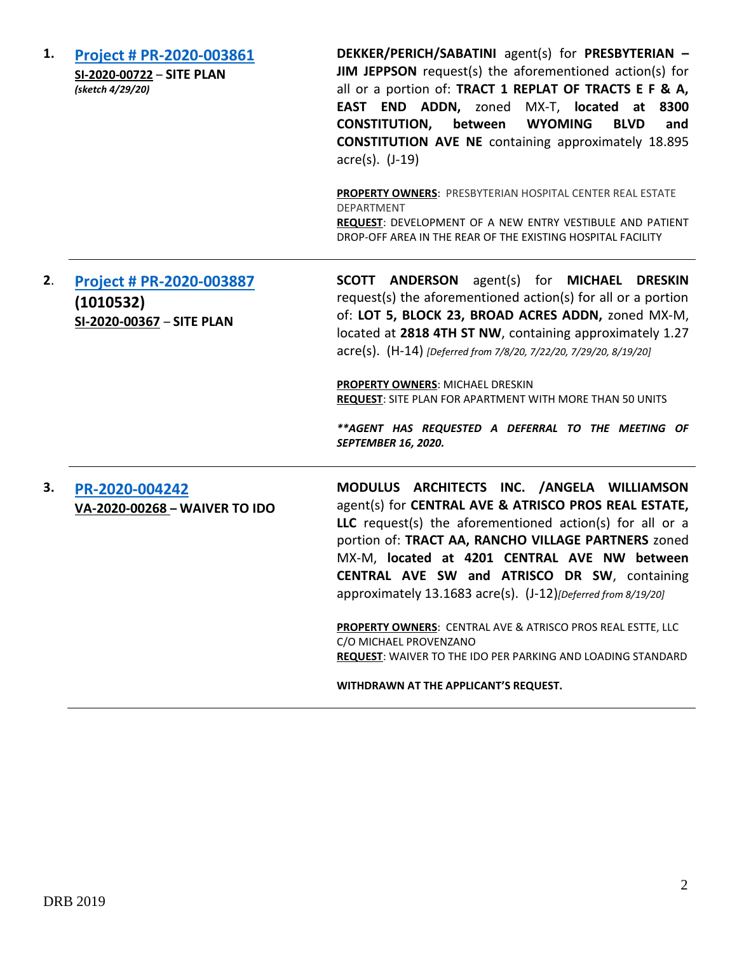| 1. | Project # PR-2020-003861<br>SI-2020-00722 - SITE PLAN<br>(sketch 4/29/20) | DEKKER/PERICH/SABATINI agent(s) for PRESBYTERIAN -<br>JIM JEPPSON request(s) the aforementioned action(s) for<br>all or a portion of: TRACT 1 REPLAT OF TRACTS E F & A,<br>EAST END ADDN, zoned MX-T, located at 8300<br><b>CONSTITUTION,</b><br>between<br><b>WYOMING</b><br><b>BLVD</b><br>and<br><b>CONSTITUTION AVE NE</b> containing approximately 18.895<br>acre(s). (J-19)                                                                                                                                                                     |
|----|---------------------------------------------------------------------------|-------------------------------------------------------------------------------------------------------------------------------------------------------------------------------------------------------------------------------------------------------------------------------------------------------------------------------------------------------------------------------------------------------------------------------------------------------------------------------------------------------------------------------------------------------|
|    |                                                                           | <b>PROPERTY OWNERS: PRESBYTERIAN HOSPITAL CENTER REAL ESTATE</b><br><b>DEPARTMENT</b><br>REQUEST: DEVELOPMENT OF A NEW ENTRY VESTIBULE AND PATIENT<br>DROP-OFF AREA IN THE REAR OF THE EXISTING HOSPITAL FACILITY                                                                                                                                                                                                                                                                                                                                     |
| 2. | Project # PR-2020-003887<br>(1010532)<br>SI-2020-00367 - SITE PLAN        | <b>SCOTT ANDERSON</b> agent(s) for <b>MICHAEL DRESKIN</b><br>request(s) the aforementioned action(s) for all or a portion<br>of: LOT 5, BLOCK 23, BROAD ACRES ADDN, zoned MX-M,<br>located at 2818 4TH ST NW, containing approximately 1.27<br>acre(s). (H-14) [Deferred from 7/8/20, 7/22/20, 7/29/20, 8/19/20]<br>PROPERTY OWNERS: MICHAEL DRESKIN<br>REQUEST: SITE PLAN FOR APARTMENT WITH MORE THAN 50 UNITS<br>** AGENT HAS REQUESTED A DEFERRAL TO THE MEETING OF<br><b>SEPTEMBER 16, 2020.</b>                                                 |
| З. | PR-2020-004242<br>VA-2020-00268 - WAIVER TO IDO                           | MODULUS ARCHITECTS INC. /ANGELA WILLIAMSON<br>agent(s) for CENTRAL AVE & ATRISCO PROS REAL ESTATE,<br>LLC request(s) the aforementioned action(s) for all or a<br>portion of: TRACT AA, RANCHO VILLAGE PARTNERS zoned<br>MX-M, located at 4201 CENTRAL AVE NW between<br>CENTRAL AVE SW and ATRISCO DR SW, containing<br>approximately 13.1683 acre(s). (J-12) [Deferred from 8/19/20]<br>PROPERTY OWNERS: CENTRAL AVE & ATRISCO PROS REAL ESTTE, LLC<br>C/O MICHAEL PROVENZANO<br><b>REQUEST:</b> WAIVER TO THE IDO PER PARKING AND LOADING STANDARD |

**WITHDRAWN AT THE APPLICANT'S REQUEST.**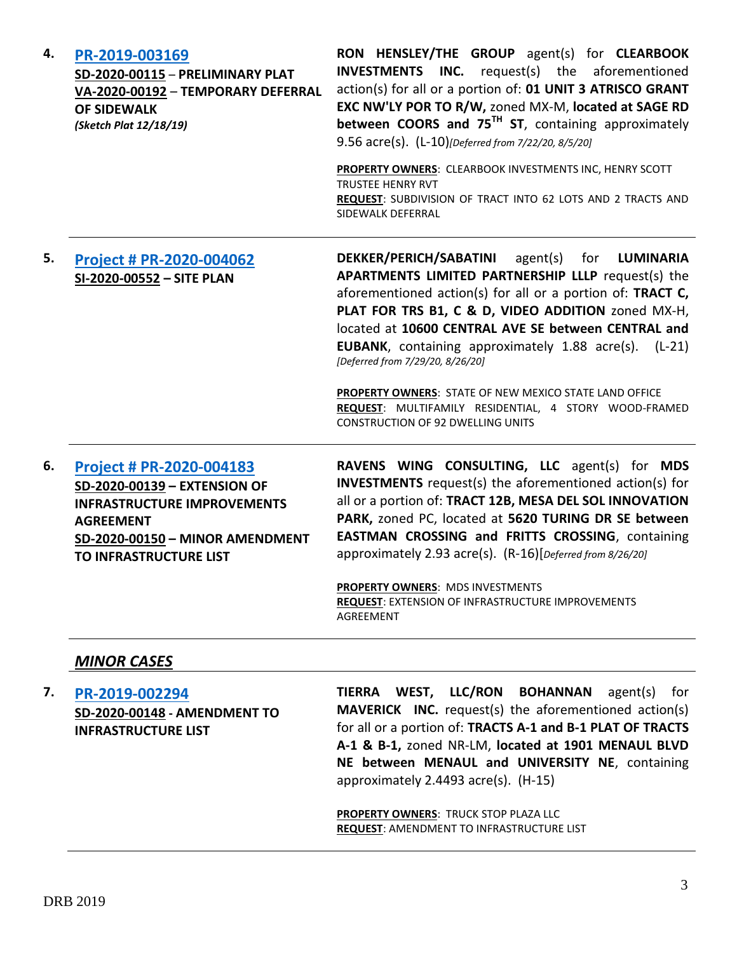| 4. | PR-2019-003169<br>SD-2020-00115 - PRELIMINARY PLAT<br>VA-2020-00192 - TEMPORARY DEFERRAL<br><b>OF SIDEWALK</b><br>(Sketch Plat 12/18/19)                                        | RON HENSLEY/THE GROUP agent(s) for CLEARBOOK<br><b>INC.</b> request(s) the aforementioned<br><b>INVESTMENTS</b><br>action(s) for all or a portion of: 01 UNIT 3 ATRISCO GRANT<br>EXC NW'LY POR TO R/W, zoned MX-M, located at SAGE RD<br>between COORS and 75 <sup>TH</sup> ST, containing approximately<br>9.56 acre(s). (L-10)[Deferred from 7/22/20, 8/5/20]<br>PROPERTY OWNERS: CLEARBOOK INVESTMENTS INC, HENRY SCOTT<br><b>TRUSTEE HENRY RVT</b><br>REQUEST: SUBDIVISION OF TRACT INTO 62 LOTS AND 2 TRACTS AND<br>SIDEWALK DEFERRAL                             |
|----|---------------------------------------------------------------------------------------------------------------------------------------------------------------------------------|------------------------------------------------------------------------------------------------------------------------------------------------------------------------------------------------------------------------------------------------------------------------------------------------------------------------------------------------------------------------------------------------------------------------------------------------------------------------------------------------------------------------------------------------------------------------|
| 5. | Project # PR-2020-004062<br>SI-2020-00552 - SITE PLAN                                                                                                                           | <b>DEKKER/PERICH/SABATINI</b><br>agent(s)<br>for LUMINARIA<br>APARTMENTS LIMITED PARTNERSHIP LLLP request(s) the<br>aforementioned action(s) for all or a portion of: TRACT C,<br>PLAT FOR TRS B1, C & D, VIDEO ADDITION zoned MX-H,<br>located at 10600 CENTRAL AVE SE between CENTRAL and<br><b>EUBANK</b> , containing approximately 1.88 acre(s). (L-21)<br>[Deferred from 7/29/20, 8/26/20]<br><b>PROPERTY OWNERS: STATE OF NEW MEXICO STATE LAND OFFICE</b><br>REQUEST: MULTIFAMILY RESIDENTIAL, 4 STORY WOOD-FRAMED<br><b>CONSTRUCTION OF 92 DWELLING UNITS</b> |
| 6. | Project # PR-2020-004183<br>SD-2020-00139 - EXTENSION OF<br><b>INFRASTRUCTURE IMPROVEMENTS</b><br><b>AGREEMENT</b><br>SD-2020-00150 - MINOR AMENDMENT<br>TO INFRASTRUCTURE LIST | RAVENS WING CONSULTING, LLC agent(s) for MDS<br><b>INVESTMENTS</b> request(s) the aforementioned action(s) for<br>all or a portion of: TRACT 12B, MESA DEL SOL INNOVATION<br>PARK, zoned PC, located at 5620 TURING DR SE between<br>EASTMAN CROSSING and FRITTS CROSSING, containing<br>approximately 2.93 acre(s). (R-16)[Deferred from 8/26/20]<br>PROPERTY OWNERS: MDS INVESTMENTS<br>REQUEST: EXTENSION OF INFRASTRUCTURE IMPROVEMENTS<br><b>AGREEMENT</b>                                                                                                        |

### *MINOR CASES*

**7. [PR-2019-002294](http://data.cabq.gov/government/planning/DRB/PR-2019-002294/DRB%20Submittals/PR-2019-002294_Sept_2_2020/2018062%208-19-20%20Maverik%20Menaul-University%20%20Minor%20Amendment%20Infrastructure%20List.pdf) SD-2020-00148 - AMENDMENT TO INFRASTRUCTURE LIST TIERRA WEST, LLC/RON BOHANNAN** agent(s) for **MAVERICK INC.** request(s) the aforementioned action(s) for all or a portion of: **TRACTS A-1 and B-1 PLAT OF TRACTS A-1 & B-1,** zoned NR-LM, **located at 1901 MENAUL BLVD NE between MENAUL and UNIVERSITY NE**, containing approximately 2.4493 acre(s). (H-15)

> **PROPERTY OWNERS**: TRUCK STOP PLAZA LLC **REQUEST**: AMENDMENT TO INFRASTRUCTURE LIST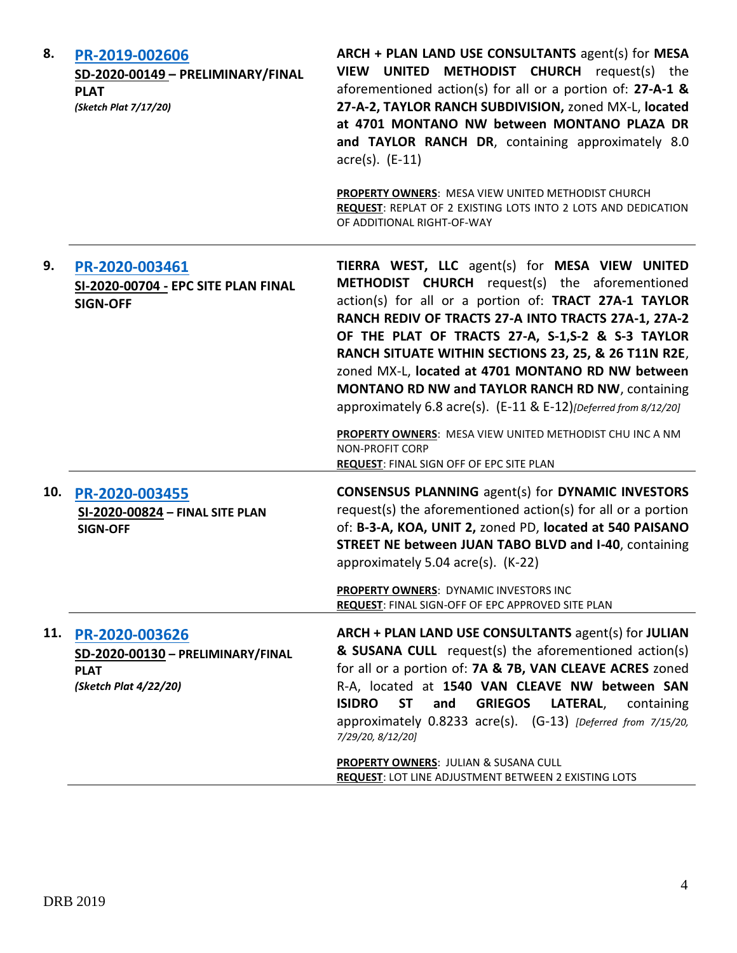| 8.  | PR-2019-002606<br>SD-2020-00149 - PRELIMINARY/FINAL<br><b>PLAT</b><br>(Sketch Plat 7/17/20) | ARCH + PLAN LAND USE CONSULTANTS agent(s) for MESA<br>VIEW UNITED METHODIST CHURCH request(s) the<br>aforementioned action(s) for all or a portion of: 27-A-1 &<br>27-A-2, TAYLOR RANCH SUBDIVISION, zoned MX-L, located<br>at 4701 MONTANO NW between MONTANO PLAZA DR<br>and TAYLOR RANCH DR, containing approximately 8.0<br>$\arccos 0$ . (E-11)<br>PROPERTY OWNERS: MESA VIEW UNITED METHODIST CHURCH<br>REQUEST: REPLAT OF 2 EXISTING LOTS INTO 2 LOTS AND DEDICATION<br>OF ADDITIONAL RIGHT-OF-WAY |
|-----|---------------------------------------------------------------------------------------------|-----------------------------------------------------------------------------------------------------------------------------------------------------------------------------------------------------------------------------------------------------------------------------------------------------------------------------------------------------------------------------------------------------------------------------------------------------------------------------------------------------------|
| 9.  | PR-2020-003461<br>SI-2020-00704 - EPC SITE PLAN FINAL<br><b>SIGN-OFF</b>                    | TIERRA WEST, LLC agent(s) for MESA VIEW UNITED<br>METHODIST CHURCH request(s) the aforementioned<br>action(s) for all or a portion of: TRACT 27A-1 TAYLOR<br>RANCH REDIV OF TRACTS 27-A INTO TRACTS 27A-1, 27A-2<br>OF THE PLAT OF TRACTS 27-A, S-1,S-2 & S-3 TAYLOR<br>RANCH SITUATE WITHIN SECTIONS 23, 25, & 26 T11N R2E,<br>zoned MX-L, located at 4701 MONTANO RD NW between<br>MONTANO RD NW and TAYLOR RANCH RD NW, containing<br>approximately 6.8 acre(s). (E-11 & E-12)[Deferred from 8/12/20]  |
|     |                                                                                             | PROPERTY OWNERS: MESA VIEW UNITED METHODIST CHU INC A NM<br><b>NON-PROFIT CORP</b><br><b>REQUEST: FINAL SIGN OFF OF EPC SITE PLAN</b>                                                                                                                                                                                                                                                                                                                                                                     |
| 10. | PR-2020-003455<br>SI-2020-00824 - FINAL SITE PLAN<br><b>SIGN-OFF</b>                        | <b>CONSENSUS PLANNING agent(s) for DYNAMIC INVESTORS</b><br>request(s) the aforementioned action(s) for all or a portion<br>of: B-3-A, KOA, UNIT 2, zoned PD, located at 540 PAISANO<br><b>STREET NE between JUAN TABO BLVD and I-40, containing</b><br>approximately 5.04 acre(s). (K-22)                                                                                                                                                                                                                |
|     |                                                                                             | <b>PROPERTY OWNERS: DYNAMIC INVESTORS INC</b><br>REQUEST: FINAL SIGN-OFF OF EPC APPROVED SITE PLAN                                                                                                                                                                                                                                                                                                                                                                                                        |
| 11. | PR-2020-003626<br>SD-2020-00130 - PRELIMINARY/FINAL<br><b>PLAT</b><br>(Sketch Plat 4/22/20) | ARCH + PLAN LAND USE CONSULTANTS agent(s) for JULIAN<br>& SUSANA CULL request(s) the aforementioned action(s)<br>for all or a portion of: 7A & 7B, VAN CLEAVE ACRES zoned<br>R-A, located at 1540 VAN CLEAVE NW between SAN<br><b>ISIDRO</b><br><b>ST</b><br><b>GRIEGOS</b><br>LATERAL,<br>and<br>containing<br>approximately 0.8233 acre(s). (G-13) [Deferred from 7/15/20,<br>7/29/20, 8/12/20]                                                                                                         |
|     |                                                                                             | PROPERTY OWNERS: JULIAN & SUSANA CULL<br>REQUEST: LOT LINE ADJUSTMENT BETWEEN 2 EXISTING LOTS                                                                                                                                                                                                                                                                                                                                                                                                             |